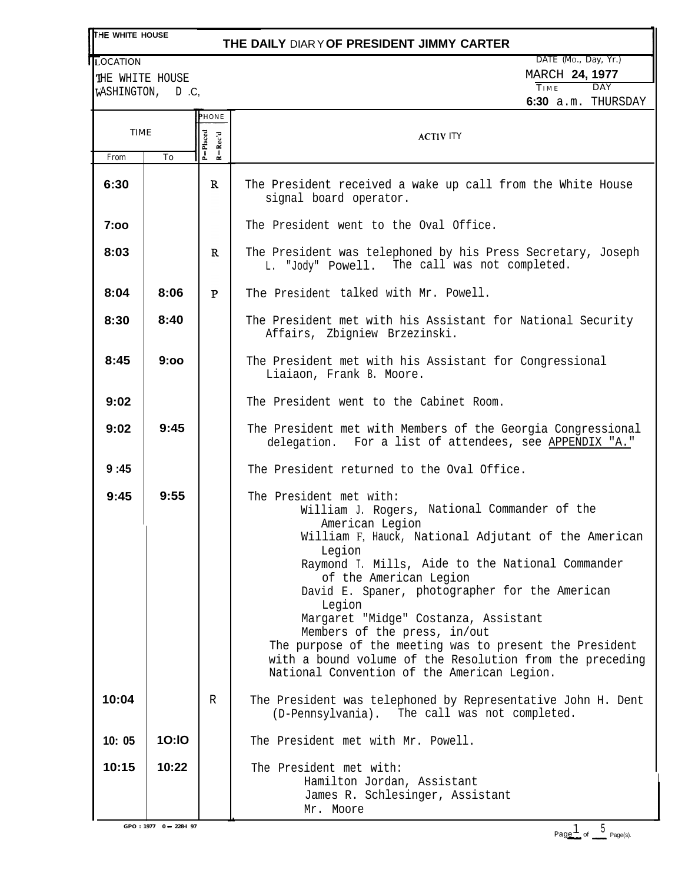## **THE WHITE HOUSE**

# **THE DAILY** DIARY **OF PRESIDENT JIMMY CARTER**

LOCATION

THE WHITE HOUSE WASHINGTON, D.C,

| DATE (Mo., Day, Yr.) |                       |                      |  |
|----------------------|-----------------------|----------------------|--|
|                      | <b>MARCH 24, 1977</b> |                      |  |
| TIME                 |                       | DAY                  |  |
|                      |                       | $6:30$ a.m. THURSDAY |  |

|             |              | <b>PHONE</b>                                    |                                                                                                                                                                                                                                                                                                                                                                                                                                                                                                                                                     |  |
|-------------|--------------|-------------------------------------------------|-----------------------------------------------------------------------------------------------------------------------------------------------------------------------------------------------------------------------------------------------------------------------------------------------------------------------------------------------------------------------------------------------------------------------------------------------------------------------------------------------------------------------------------------------------|--|
| <b>TIME</b> |              | $P = Placed$<br>$R = Rec'd$<br><b>ACTIV ITY</b> |                                                                                                                                                                                                                                                                                                                                                                                                                                                                                                                                                     |  |
| From        | To           |                                                 |                                                                                                                                                                                                                                                                                                                                                                                                                                                                                                                                                     |  |
| 6:30        |              | $\mathbf{R}$                                    | The President received a wake up call from the White House<br>signal board operator.                                                                                                                                                                                                                                                                                                                                                                                                                                                                |  |
| 7:00        |              |                                                 | The President went to the Oval Office.                                                                                                                                                                                                                                                                                                                                                                                                                                                                                                              |  |
| 8:03        |              | R                                               | The President was telephoned by his Press Secretary, Joseph<br>L. "Jody" Powell. The call was not completed.                                                                                                                                                                                                                                                                                                                                                                                                                                        |  |
| 8:04        | 8:06         | $\mathbf P$                                     | The President talked with Mr. Powell.                                                                                                                                                                                                                                                                                                                                                                                                                                                                                                               |  |
| 8:30        | 8:40         |                                                 | The President met with his Assistant for National Security<br>Affairs, Zbigniew Brzezinski.                                                                                                                                                                                                                                                                                                                                                                                                                                                         |  |
| 8:45        | 9:00         |                                                 | The President met with his Assistant for Congressional<br>Liaiaon, Frank B. Moore.                                                                                                                                                                                                                                                                                                                                                                                                                                                                  |  |
| 9:02        |              |                                                 | The President went to the Cabinet Room.                                                                                                                                                                                                                                                                                                                                                                                                                                                                                                             |  |
| 9:02        | 9:45         |                                                 | The President met with Members of the Georgia Congressional<br>delegation. For a list of attendees, see APPENDIX "A."                                                                                                                                                                                                                                                                                                                                                                                                                               |  |
| 9:45        |              |                                                 | The President returned to the Oval Office.                                                                                                                                                                                                                                                                                                                                                                                                                                                                                                          |  |
| 9:45        | 9:55         |                                                 | The President met with:<br>William J. Rogers, National Commander of the<br>American Legion<br>William F, Hauck, National Adjutant of the American<br>Legion<br>Raymond T. Mills, Aide to the National Commander<br>of the American Legion<br>David E. Spaner, photographer for the American<br>Legion<br>Margaret "Midge" Costanza, Assistant<br>Members of the press, in/out<br>The purpose of the meeting was to present the President<br>with a bound volume of the Resolution from the preceding<br>National Convention of the American Legion. |  |
| 10:04       |              | R                                               | The President was telephoned by Representative John H. Dent<br>(D-Pennsylvania). The call was not completed.                                                                                                                                                                                                                                                                                                                                                                                                                                        |  |
| 10:05       | <b>10:10</b> |                                                 | The President met with Mr. Powell.                                                                                                                                                                                                                                                                                                                                                                                                                                                                                                                  |  |
| 10:15       | 10:22        |                                                 | The President met with:<br>Hamilton Jordan, Assistant<br>James R. Schlesinger, Assistant<br>Mr. Moore                                                                                                                                                                                                                                                                                                                                                                                                                                               |  |

 $GPO: 1977 \quad 0 - 228-I \quad 97$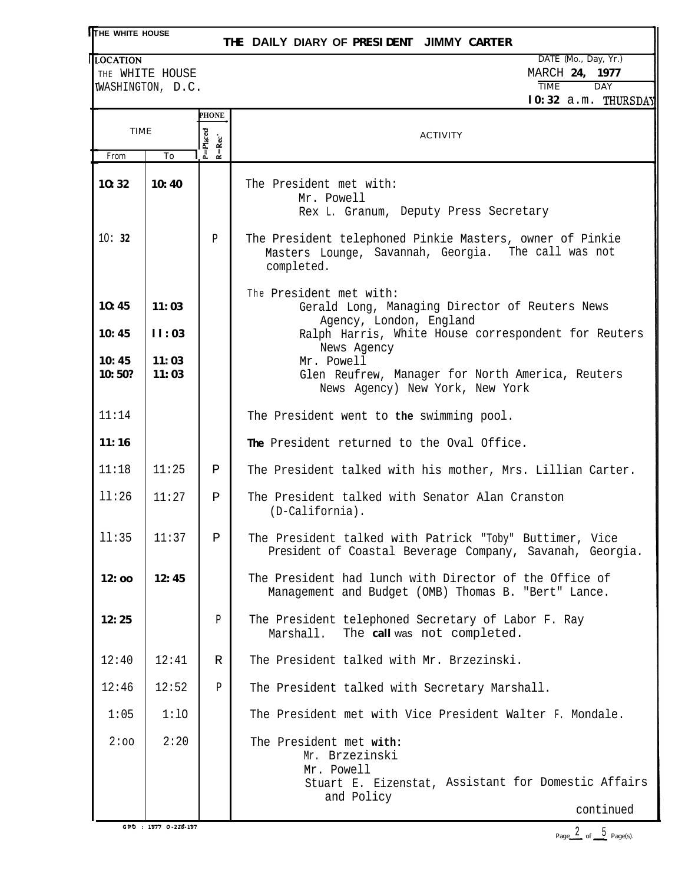# **HE WHITE HOUSE**

### **THE DAILY DIARY OF PRESIDENT JIMMY CARTER**

WASHINGTON, D.C.

**LOCATION** DATE (Mo., Day, Yr.) THE WHITE HOUSE **MARCH 24, 1977**<br>
WASHINGTON, D.C. TIME DAY **10:32** a.m. THURSDAY

| TIME            |                | <b>PHONE</b>               |                                                                                                                                           |  |
|-----------------|----------------|----------------------------|-------------------------------------------------------------------------------------------------------------------------------------------|--|
|                 |                |                            | <b>ACTIVITY</b>                                                                                                                           |  |
|                 |                | $P = Placed$<br>$R = Rcc'$ |                                                                                                                                           |  |
| From            | To             |                            |                                                                                                                                           |  |
| 10:32           | 10:40          |                            | The President met with:<br>Mr. Powell<br>Rex L. Granum, Deputy Press Secretary                                                            |  |
| 10:32           |                | $\mathbf{P}$               | The President telephoned Pinkie Masters, owner of Pinkie<br>Masters Lounge, Savannah, Georgia. The call was not<br>completed.             |  |
| 10:45           | 11:03          |                            | The President met with:<br>Gerald Long, Managing Director of Reuters News                                                                 |  |
| 10:45           | 11:03          |                            | Agency, London, England<br>Ralph Harris, White House correspondent for Reuters<br>News Agency                                             |  |
| 10:45<br>10:50? | 11:03<br>11:03 |                            | Mr. Powell<br>Glen Reufrew, Manager for North America, Reuters<br>News Agency) New York, New York                                         |  |
| 11:14           |                |                            | The President went to the swimming pool.                                                                                                  |  |
| 11:16           |                |                            | The President returned to the Oval Office.                                                                                                |  |
| 11:18           | 11:25          | Ρ                          | The President talked with his mother, Mrs. Lillian Carter.                                                                                |  |
| 11:26           | 11:27          | Ρ                          | The President talked with Senator Alan Cranston<br>$(D-California)$ .                                                                     |  |
| 11:35           | 11:37          | $\mathbf{P}$               | The President talked with Patrick "Toby" Buttimer, Vice<br>President of Coastal Beverage Company, Savanah, Georgia.                       |  |
| 12:oo           | 12:45          |                            | The President had lunch with Director of the Office of<br>Management and Budget (OMB) Thomas B. "Bert" Lance.                             |  |
| 12:25           |                | P                          | The President telephoned Secretary of Labor F. Ray<br>The call was not completed.<br>Marshall.                                            |  |
| 12:40           | 12:41          | R                          | The President talked with Mr. Brzezinski.                                                                                                 |  |
| 12:46           | 12:52          | P                          | The President talked with Secretary Marshall.                                                                                             |  |
| 1:05            | 1:10           |                            | The President met with Vice President Walter F. Mondale.                                                                                  |  |
| 2:00            | 2:20           |                            | The President met with:<br>Mr. Brzezinski<br>Mr. Powell<br>Stuart E. Eizenstat, Assistant for Domestic Affairs<br>and Policy<br>continued |  |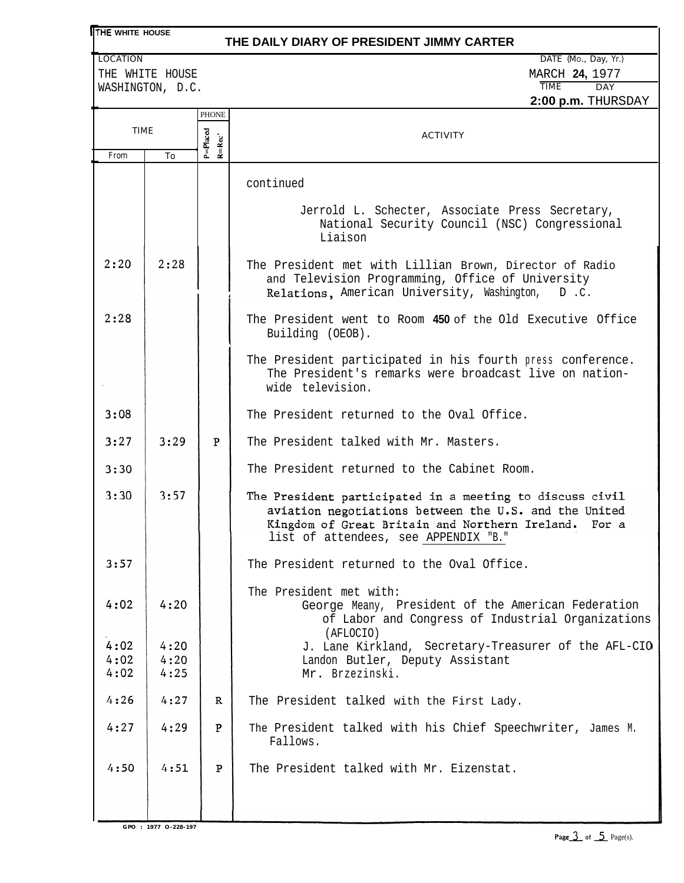## **THE WHITE HOUSE**

### **THE DAILY DIARY OF PRESIDENT JIMMY CARTER**

WASHINGTON, D.C.

|                      |                      |              | דערטערטאדד <b>ווווים ממי<del>ם</del></b>                                                                                                                                                                             |  |
|----------------------|----------------------|--------------|----------------------------------------------------------------------------------------------------------------------------------------------------------------------------------------------------------------------|--|
|                      |                      | <b>PHONE</b> |                                                                                                                                                                                                                      |  |
| TIME                 |                      | $P = P$ aced | <b>ACTIVITY</b>                                                                                                                                                                                                      |  |
| From                 | To                   | $R = Rcc'$   |                                                                                                                                                                                                                      |  |
|                      |                      |              | continued                                                                                                                                                                                                            |  |
|                      |                      |              | Jerrold L. Schecter, Associate Press Secretary,<br>National Security Council (NSC) Congressional<br>Liaison                                                                                                          |  |
| 2:20                 | 2:28                 |              | The President met with Lillian Brown, Director of Radio<br>and Television Programming, Office of University<br>Relations, American University, Washington, D.C.                                                      |  |
| 2:28                 |                      |              | The President went to Room 450 of the Old Executive Office<br>Building (OEOB).                                                                                                                                       |  |
|                      |                      |              | The President participated in his fourth press conference.<br>The President's remarks were broadcast live on nation-<br>wide television.                                                                             |  |
| 3:08                 |                      |              | The President returned to the Oval Office.                                                                                                                                                                           |  |
| 3:27                 | 3:29                 | P            | The President talked with Mr. Masters.                                                                                                                                                                               |  |
| 3:30                 |                      |              | The President returned to the Cabinet Room.                                                                                                                                                                          |  |
| 3:30                 | 3:57                 |              | The President participated in a meeting to discuss civil<br>aviation negotiations between the U.S. and the United<br>Kingdom of Great Britain and Northern Ireland.<br>For a<br>list of attendees, see APPENDIX "B." |  |
| 3:57                 |                      |              | The President returned to the Oval Office.                                                                                                                                                                           |  |
| 4:02                 | 4:20                 |              | The President met with:<br>George Meany, President of the American Federation<br>of Labor and Congress of Industrial Organizations                                                                                   |  |
| 4:02<br>4:02<br>4:02 | 4:20<br>4:20<br>4:25 |              | (AFLOCIO)<br>J. Lane Kirkland, Secretary-Treasurer of the AFL-CIO<br>Landon Butler, Deputy Assistant<br>Mr. Brzezinski.                                                                                              |  |
| 4:26                 | 4:27                 | R            | The President talked with the First Lady.                                                                                                                                                                            |  |
| 4:27                 | 4:29                 | P            | The President talked with his Chief Speechwriter, James M.<br>Fallows.                                                                                                                                               |  |
| 4:50                 | 4:51                 | ${\bf P}$    | The President talked with Mr. Eizenstat.                                                                                                                                                                             |  |
|                      |                      |              |                                                                                                                                                                                                                      |  |

**GPO : 1977 O-228-197**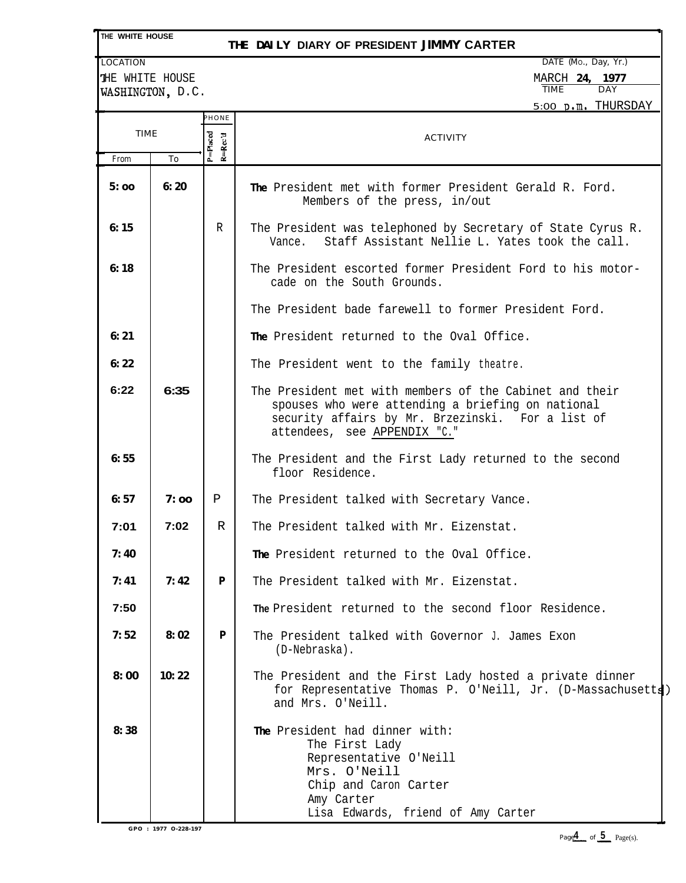|  | THE WHITE HOUSE |
|--|-----------------|
|  |                 |

## **THE DAILY DIARY OF PRESIDENT JIMMY CARTER**

LOCATION DATE (MO., Day, Yr.)

THE WHITE HOUSE MARCH 24, 1977 MARCH 24, 1977 MARCH 24, 1977 MARCH 24, 1977 WASHINGTON, D.C.

|       |       |                                        | 5:00 p.m. THURSDAY                                                                                                                                                                                |  |
|-------|-------|----------------------------------------|---------------------------------------------------------------------------------------------------------------------------------------------------------------------------------------------------|--|
| TIME  |       | PHONE<br>$P = P   accd$<br>$R = Rec'd$ | <b>ACTIVITY</b>                                                                                                                                                                                   |  |
| From  | To    |                                        |                                                                                                                                                                                                   |  |
| 5:00  | 6:20  |                                        | The President met with former President Gerald R. Ford.<br>Members of the press, in/out                                                                                                           |  |
| 6:15  |       | R                                      | The President was telephoned by Secretary of State Cyrus R.<br>Staff Assistant Nellie L. Yates took the call.<br>Vance.                                                                           |  |
| 6:18  |       |                                        | The President escorted former President Ford to his motor-<br>cade on the South Grounds.                                                                                                          |  |
|       |       |                                        | The President bade farewell to former President Ford.                                                                                                                                             |  |
| 6: 21 |       |                                        | The President returned to the Oval Office.                                                                                                                                                        |  |
| 6:22  |       |                                        | The President went to the family theatre.                                                                                                                                                         |  |
| 6:22  | 6:35  |                                        | The President met with members of the Cabinet and their<br>spouses who were attending a briefing on national<br>security affairs by Mr. Brzezinski. For a list of<br>attendees, see APPENDIX "C." |  |
| 6:55  |       |                                        | The President and the First Lady returned to the second<br>floor Residence.                                                                                                                       |  |
| 6:57  | 7:00  | P                                      | The President talked with Secretary Vance.                                                                                                                                                        |  |
| 7:01  | 7:02  | R                                      | The President talked with Mr. Eizenstat.                                                                                                                                                          |  |
| 7:40  |       |                                        | The President returned to the Oval Office.                                                                                                                                                        |  |
| 7: 41 | 7:42  | P                                      | The President talked with Mr. Eizenstat.                                                                                                                                                          |  |
| 7:50  |       |                                        | The President returned to the second floor Residence.                                                                                                                                             |  |
| 7:52  | 8:02  | P                                      | The President talked with Governor J. James Exon<br>(D-Nebraska).                                                                                                                                 |  |
| 8:00  | 10:22 |                                        | The President and the First Lady hosted a private dinner<br>for Representative Thomas P. O'Neill, Jr. (D-Massachusetts)<br>and Mrs. O'Neill.                                                      |  |
| 8:38  |       |                                        | The President had dinner with:<br>The First Lady<br>Representative O'Neill<br>Mrs. O'Neill<br>Chip and Caron Carter<br>Amy Carter<br>Lisa Edwards, friend of Amy Carter                           |  |